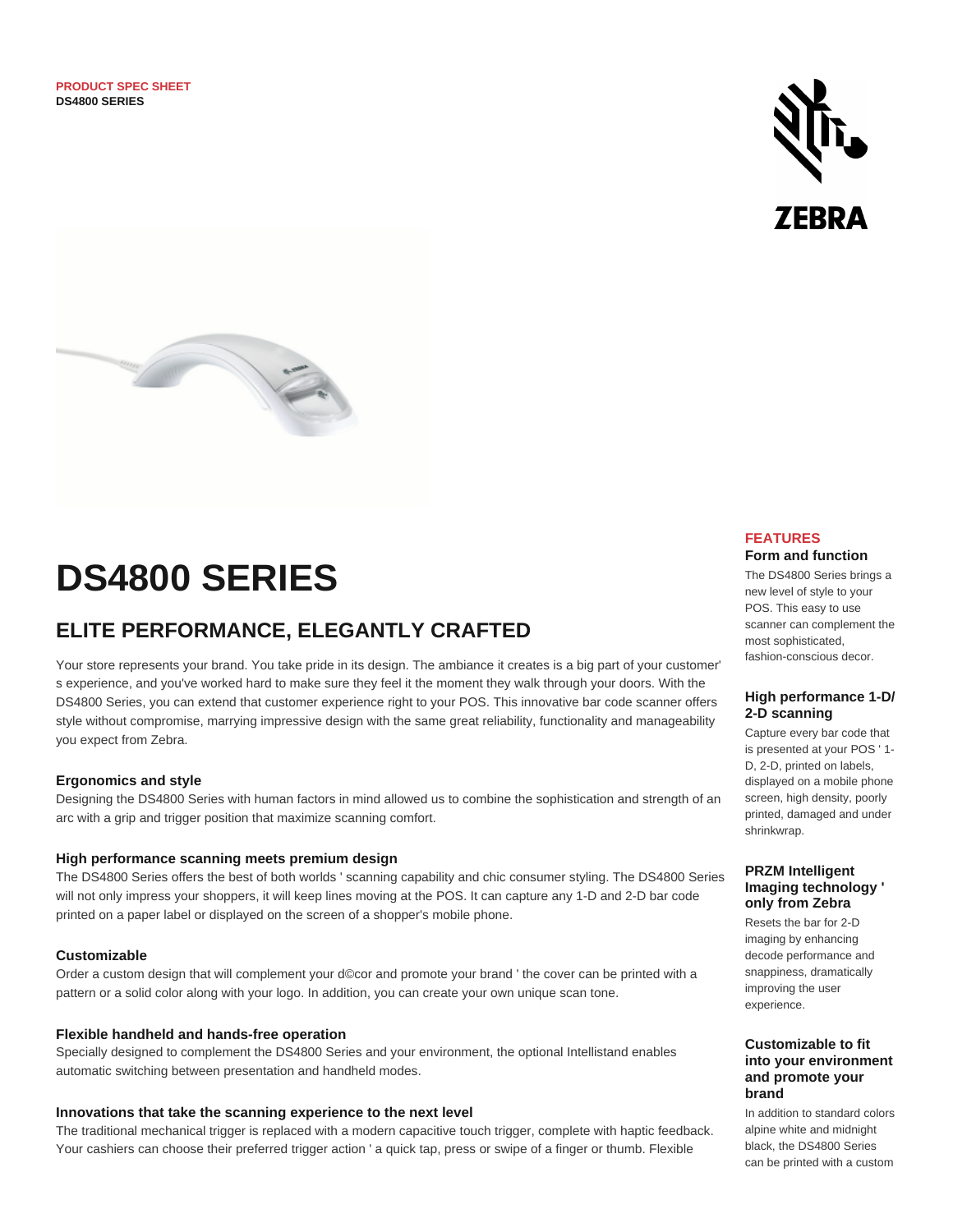



# **DS4800 SERIES**

## **ELITE PERFORMANCE, ELEGANTLY CRAFTED**

Your store represents your brand. You take pride in its design. The ambiance it creates is a big part of your customer' s experience, and you've worked hard to make sure they feel it the moment they walk through your doors. With the DS4800 Series, you can extend that customer experience right to your POS. This innovative bar code scanner offers style without compromise, marrying impressive design with the same great reliability, functionality and manageability you expect from Zebra.

#### **Ergonomics and style**

Designing the DS4800 Series with human factors in mind allowed us to combine the sophistication and strength of an arc with a grip and trigger position that maximize scanning comfort.

#### **High performance scanning meets premium design**

The DS4800 Series offers the best of both worlds ' scanning capability and chic consumer styling. The DS4800 Series will not only impress your shoppers, it will keep lines moving at the POS. It can capture any 1-D and 2-D bar code printed on a paper label or displayed on the screen of a shopper's mobile phone.

#### **Customizable**

Order a custom design that will complement your d©cor and promote your brand ' the cover can be printed with a pattern or a solid color along with your logo. In addition, you can create your own unique scan tone.

#### **Flexible handheld and hands-free operation**

Specially designed to complement the DS4800 Series and your environment, the optional Intellistand enables automatic switching between presentation and handheld modes.

#### **Innovations that take the scanning experience to the next level**

The traditional mechanical trigger is replaced with a modern capacitive touch trigger, complete with haptic feedback. Your cashiers can choose their preferred trigger action ' a quick tap, press or swipe of a finger or thumb. Flexible

#### **FEATURES Form and function**

The DS4800 Series brings a new level of style to your POS. This easy to use scanner can complement the most sophisticated, fashion-conscious decor.

#### **High performance 1-D/ 2-D scanning**

Capture every bar code that is presented at your POS ' 1- D, 2-D, printed on labels, displayed on a mobile phone screen, high density, poorly printed, damaged and under shrinkwrap.

#### **PRZM Intelligent Imaging technology ' only from Zebra**

Resets the bar for 2-D imaging by enhancing decode performance and snappiness, dramatically improving the user experience.

#### **Customizable to fit into your environment and promote your brand**

In addition to standard colors alpine white and midnight black, the DS4800 Series can be printed with a custom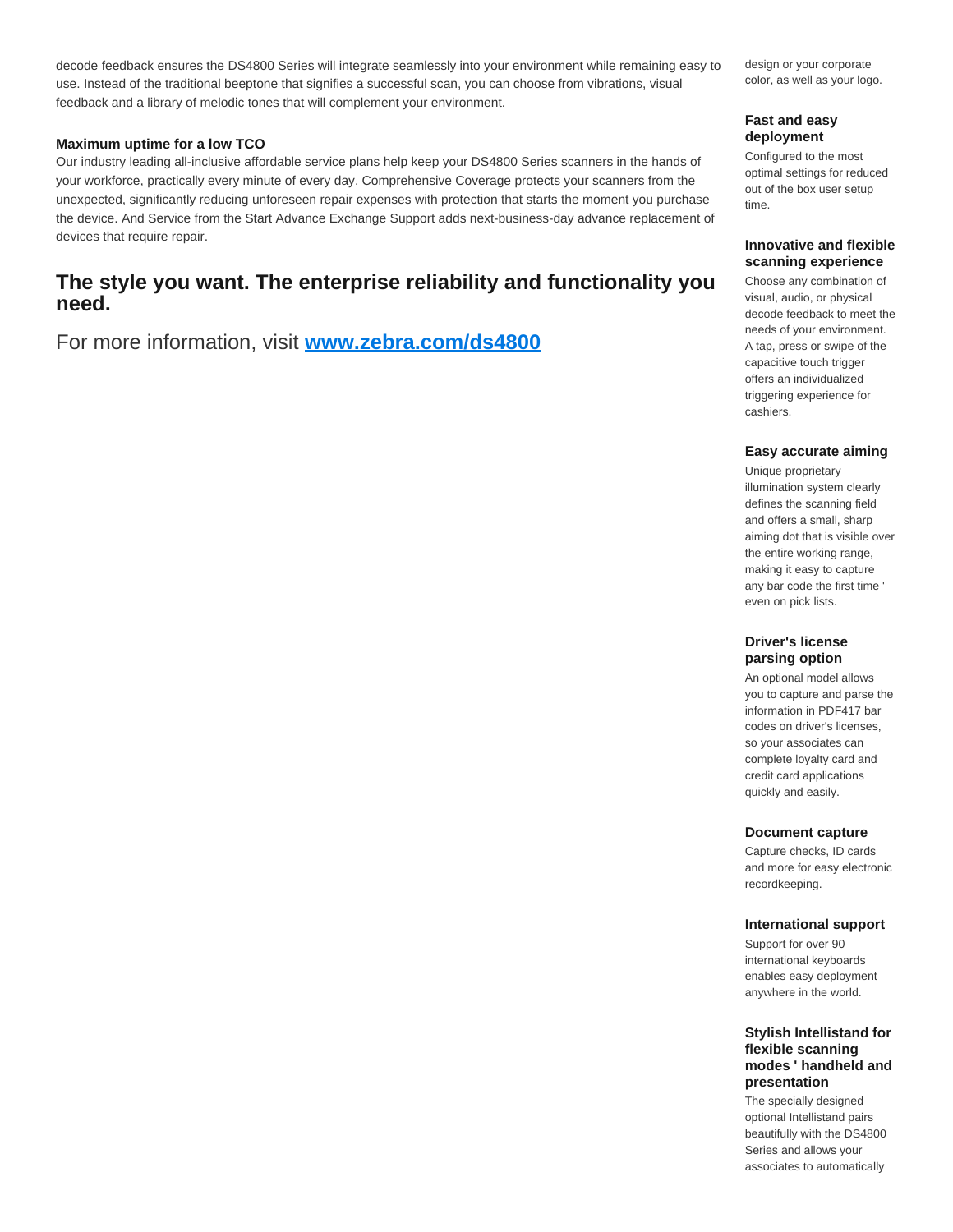decode feedback ensures the DS4800 Series will integrate seamlessly into your environment while remaining easy to use. Instead of the traditional beeptone that signifies a successful scan, you can choose from vibrations, visual feedback and a library of melodic tones that will complement your environment.

#### **Maximum uptime for a low TCO**

Our industry leading all-inclusive affordable service plans help keep your DS4800 Series scanners in the hands of your workforce, practically every minute of every day. Comprehensive Coverage protects your scanners from the unexpected, significantly reducing unforeseen repair expenses with protection that starts the moment you purchase the device. And Service from the Start Advance Exchange Support adds next-business-day advance replacement of devices that require repair.

## **The style you want. The enterprise reliability and functionality you need.**

For more information, visit **[www.zebra.com/ds4800](http://www.zebra.com/ds4800)**

design or your corporate color, as well as your logo.

#### **Fast and easy deployment**

Configured to the most optimal settings for reduced out of the box user setup time.

#### **Innovative and flexible scanning experience**

Choose any combination of visual, audio, or physical decode feedback to meet the needs of your environment. A tap, press or swipe of the capacitive touch trigger offers an individualized triggering experience for cashiers.

#### **Easy accurate aiming**

Unique proprietary illumination system clearly defines the scanning field and offers a small, sharp aiming dot that is visible over the entire working range, making it easy to capture any bar code the first time ' even on pick lists.

#### **Driver's license parsing option**

An optional model allows you to capture and parse the information in PDF417 bar codes on driver's licenses, so your associates can complete loyalty card and credit card applications quickly and easily.

#### **Document capture**

Capture checks, ID cards and more for easy electronic recordkeeping.

#### **International support**

Support for over 90 international keyboards enables easy deployment anywhere in the world.

#### **Stylish Intellistand for flexible scanning modes ' handheld and presentation**

The specially designed optional Intellistand pairs beautifully with the DS4800 Series and allows your associates to automatically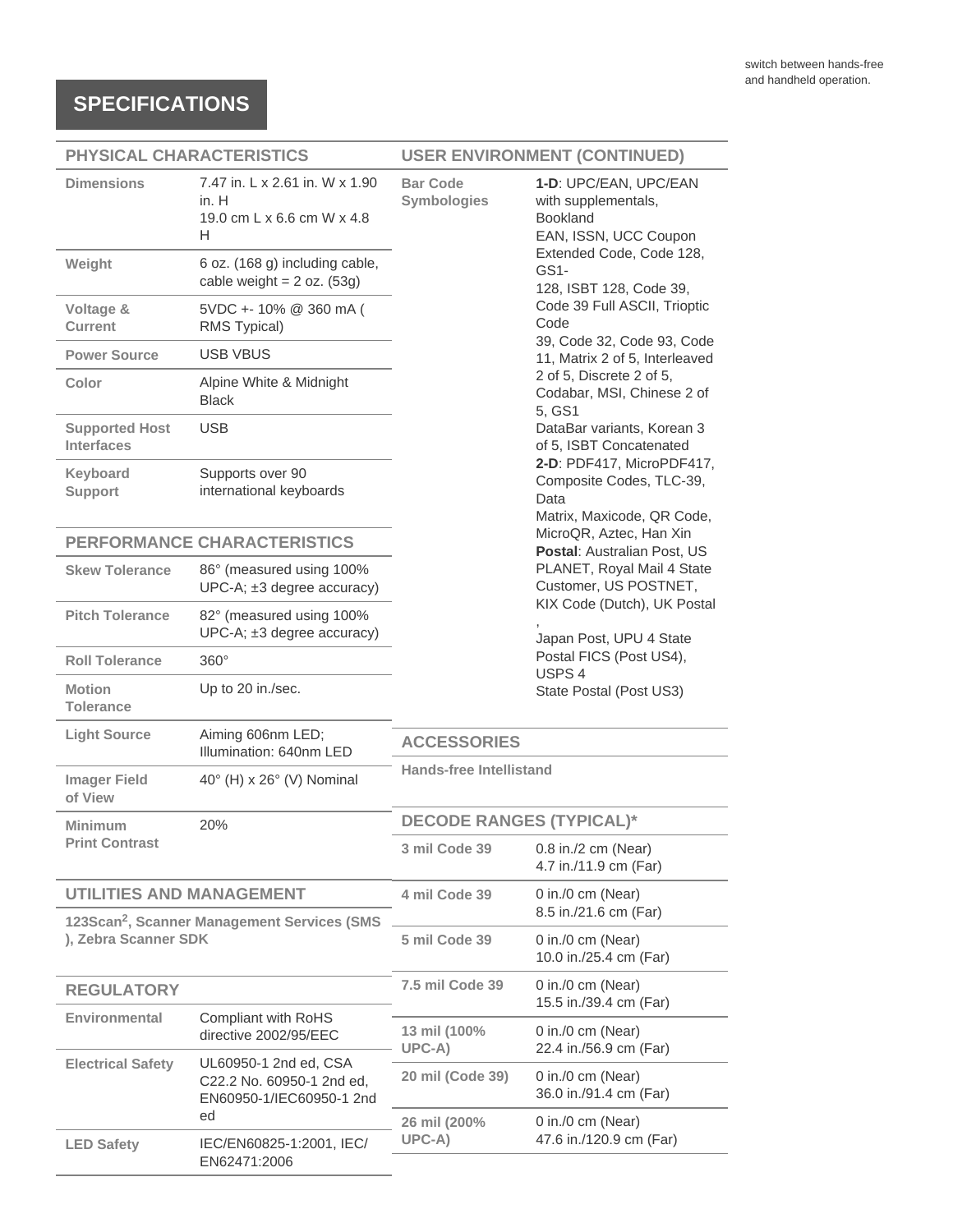# **SPECIFICATIONS**

### **PHYSICAL CHARACTERISTICS**

## **USER ENVIRONMENT (CONTINUED)**

| <b>Dimensions</b>                                                               | 7.47 in, L x 2.61 in, W x 1.90<br>in. H<br>19.0 cm L x 6.6 cm W x 4.8<br>н     | <b>Bar Code</b><br>Symbologies                                                                                                                                                                                                                                                                                                   | 1-D: UPC/EAN, UPC/EAN<br>with supplementals,<br><b>Bookland</b><br>EAN, ISSN, UCC Coupon<br>Extended Code, Code 128,<br>GS1-<br>128, ISBT 128, Code 39, |
|---------------------------------------------------------------------------------|--------------------------------------------------------------------------------|----------------------------------------------------------------------------------------------------------------------------------------------------------------------------------------------------------------------------------------------------------------------------------------------------------------------------------|---------------------------------------------------------------------------------------------------------------------------------------------------------|
| Weight                                                                          | 6 oz. (168 g) including cable,<br>cable weight = $2 oz. (53g)$                 |                                                                                                                                                                                                                                                                                                                                  |                                                                                                                                                         |
| Voltage &<br><b>Current</b>                                                     | 5VDC + - 10% @ 360 mA (<br>RMS Typical)                                        | Code 39 Full ASCII, Trioptic<br>Code<br>39, Code 32, Code 93, Code<br>11, Matrix 2 of 5, Interleaved<br>2 of 5, Discrete 2 of 5,<br>Codabar, MSI, Chinese 2 of<br>5, GS1<br>DataBar variants, Korean 3<br>of 5, ISBT Concatenated<br>2-D: PDF417, MicroPDF417,<br>Composite Codes, TLC-39,<br>Data<br>Matrix, Maxicode, QR Code, |                                                                                                                                                         |
| <b>Power Source</b>                                                             | <b>USB VBUS</b>                                                                |                                                                                                                                                                                                                                                                                                                                  |                                                                                                                                                         |
| Color                                                                           | Alpine White & Midnight<br><b>Black</b>                                        |                                                                                                                                                                                                                                                                                                                                  |                                                                                                                                                         |
| <b>Supported Host</b><br><b>Interfaces</b>                                      | <b>USB</b>                                                                     |                                                                                                                                                                                                                                                                                                                                  |                                                                                                                                                         |
| Keyboard<br><b>Support</b>                                                      | Supports over 90<br>international keyboards                                    |                                                                                                                                                                                                                                                                                                                                  |                                                                                                                                                         |
|                                                                                 | PERFORMANCE CHARACTERISTICS                                                    | MicroQR, Aztec, Han Xin<br>Postal: Australian Post, US                                                                                                                                                                                                                                                                           |                                                                                                                                                         |
| <b>Skew Tolerance</b>                                                           | 86° (measured using 100%<br>$UPC-A; \pm 3$ degree accuracy)                    |                                                                                                                                                                                                                                                                                                                                  | PLANET, Royal Mail 4 State<br>Customer, US POSTNET,<br>KIX Code (Dutch), UK Postal<br>Japan Post, UPU 4 State<br>Postal FICS (Post US4),<br>USPS 4      |
| <b>Pitch Tolerance</b>                                                          | 82° (measured using 100%<br>$UPC-A; \pm 3$ degree accuracy)                    |                                                                                                                                                                                                                                                                                                                                  |                                                                                                                                                         |
| <b>Roll Tolerance</b>                                                           | $360^\circ$                                                                    |                                                                                                                                                                                                                                                                                                                                  |                                                                                                                                                         |
| <b>Motion</b><br><b>Tolerance</b>                                               | Up to 20 in./sec.                                                              |                                                                                                                                                                                                                                                                                                                                  | State Postal (Post US3)                                                                                                                                 |
| <b>Light Source</b>                                                             | Aiming 606nm LED;<br>Illumination: 640nm LED                                   | <b>ACCESSORIES</b>                                                                                                                                                                                                                                                                                                               |                                                                                                                                                         |
| <b>Imager Field</b><br>of View                                                  | 40° (H) x 26° (V) Nominal                                                      | <b>Hands-free Intellistand</b>                                                                                                                                                                                                                                                                                                   |                                                                                                                                                         |
| Minimum                                                                         | 20%                                                                            | <b>DECODE RANGES (TYPICAL)*</b>                                                                                                                                                                                                                                                                                                  |                                                                                                                                                         |
| <b>Print Contrast</b>                                                           |                                                                                | 3 mil Code 39                                                                                                                                                                                                                                                                                                                    | 0.8 in./2 cm (Near)<br>4.7 in./11.9 cm (Far)                                                                                                            |
| <b>UTILITIES AND MANAGEMENT</b>                                                 |                                                                                | 4 mil Code 39                                                                                                                                                                                                                                                                                                                    | 0 in./0 cm (Near)<br>8.5 in./21.6 cm (Far)                                                                                                              |
| 123Scan <sup>2</sup> , Scanner Management Services (SMS<br>), Zebra Scanner SDK |                                                                                | 5 mil Code 39                                                                                                                                                                                                                                                                                                                    | 0 in./0 cm (Near)                                                                                                                                       |
|                                                                                 |                                                                                |                                                                                                                                                                                                                                                                                                                                  | 10.0 in./25.4 cm (Far)                                                                                                                                  |
| <b>REGULATORY</b>                                                               |                                                                                | 7.5 mil Code 39                                                                                                                                                                                                                                                                                                                  | 0 in./0 cm (Near)<br>15.5 in./39.4 cm (Far)                                                                                                             |
| Environmental                                                                   | Compliant with RoHS<br>directive 2002/95/EEC                                   | 13 mil (100%<br>$UPC-A)$                                                                                                                                                                                                                                                                                                         | 0 in./0 cm (Near)<br>22.4 in./56.9 cm (Far)                                                                                                             |
| <b>Electrical Safety</b>                                                        | UL60950-1 2nd ed, CSA<br>C22.2 No. 60950-1 2nd ed,<br>EN60950-1/IEC60950-1 2nd | 20 mil (Code 39)                                                                                                                                                                                                                                                                                                                 | 0 in./0 cm (Near)<br>36.0 in./91.4 cm (Far)                                                                                                             |
|                                                                                 | ed                                                                             | 26 mil (200%                                                                                                                                                                                                                                                                                                                     | 0 in./0 cm (Near)                                                                                                                                       |
| <b>LED Safety</b>                                                               | IEC/EN60825-1:2001, IEC/<br>EN62471:2006                                       | UPC-A)                                                                                                                                                                                                                                                                                                                           | 47.6 in./120.9 cm (Far)                                                                                                                                 |